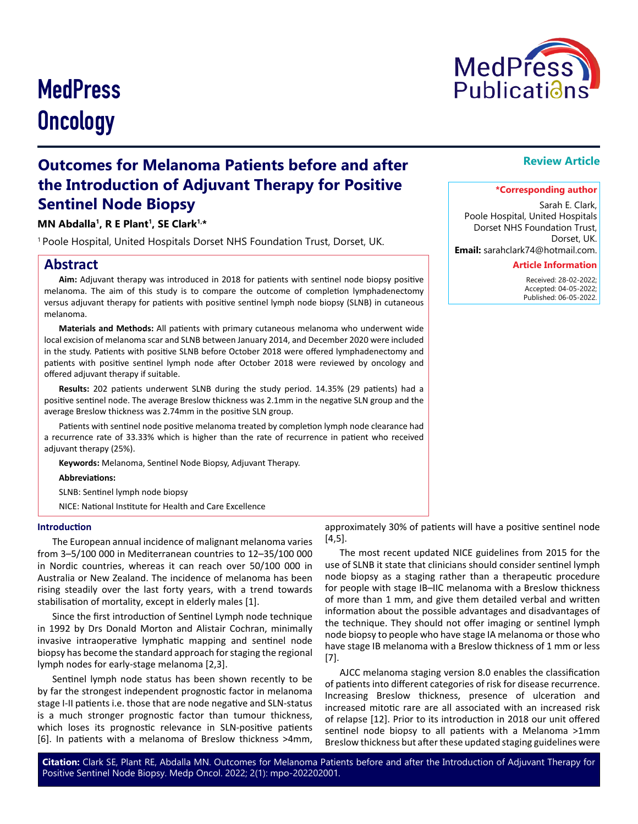# **MedPress Oncology**



# **Outcomes for Melanoma Patients before and after the Introduction of Adjuvant Therapy for Positive Sentinel Node Biopsy**

# **MN Abdalla1, R E Plant1, SE Clark1,\***

1 Poole Hospital, United Hospitals Dorset NHS Foundation Trust, Dorset, UK.

# **Abstract**

**Aim:** Adjuvant therapy was introduced in 2018 for patients with sentinel node biopsy positive melanoma. The aim of this study is to compare the outcome of completion lymphadenectomy versus adjuvant therapy for patients with positive sentinel lymph node biopsy (SLNB) in cutaneous melanoma.

**Materials and Methods:** All patients with primary cutaneous melanoma who underwent wide local excision of melanoma scar and SLNB between January 2014, and December 2020 were included in the study. Patients with positive SLNB before October 2018 were offered lymphadenectomy and patients with positive sentinel lymph node after October 2018 were reviewed by oncology and offered adjuvant therapy if suitable.

**Results:** 202 patients underwent SLNB during the study period. 14.35% (29 patients) had a positive sentinel node. The average Breslow thickness was 2.1mm in the negative SLN group and the average Breslow thickness was 2.74mm in the positive SLN group.

Patients with sentinel node positive melanoma treated by completion lymph node clearance had a recurrence rate of 33.33% which is higher than the rate of recurrence in patient who received adjuvant therapy (25%).

**Keywords:** Melanoma, Sentinel Node Biopsy, Adjuvant Therapy.

**Abbreviations:**

SLNB: Sentinel lymph node biopsy

NICE: National Institute for Health and Care Excellence

#### **Introduction**

The European annual incidence of malignant melanoma varies from 3–5/100 000 in Mediterranean countries to 12–35/100 000 in Nordic countries, whereas it can reach over 50/100 000 in Australia or New Zealand. The incidence of melanoma has been rising steadily over the last forty years, with a trend towards stabilisation of mortality, except in elderly males [1].

Since the first introduction of Sentinel Lymph node technique in 1992 by Drs Donald Morton and Alistair Cochran, minimally invasive intraoperative lymphatic mapping and sentinel node biopsy has become the standard approach for staging the regional lymph nodes for early-stage melanoma [2,3].

Sentinel lymph node status has been shown recently to be by far the strongest independent prognostic factor in melanoma stage I-II patients i.e. those that are node negative and SLN-status is a much stronger prognostic factor than tumour thickness, which loses its prognostic relevance in SLN-positive patients [6]. In patients with a melanoma of Breslow thickness >4mm,

approximately 30% of patients will have a positive sentinel node [4,5].

The most recent updated NICE guidelines from 2015 for the use of SLNB it state that clinicians should consider sentinel lymph node biopsy as a staging rather than a therapeutic procedure for people with stage IB–IIC melanoma with a Breslow thickness of more than 1 mm, and give them detailed verbal and written information about the possible advantages and disadvantages of the technique. They should not offer imaging or sentinel lymph node biopsy to people who have stage IA melanoma or those who have stage IB melanoma with a Breslow thickness of 1 mm or less [7].

AJCC melanoma staging version 8.0 enables the classification of patients into different categories of risk for disease recurrence. Increasing Breslow thickness, presence of ulceration and increased mitotic rare are all associated with an increased risk of relapse [12]. Prior to its introduction in 2018 our unit offered sentinel node biopsy to all patients with a Melanoma >1mm Breslow thickness but after these updated staging guidelines were

**Citation:** Clark SE, Plant RE, Abdalla MN. Outcomes for Melanoma Patients before and after the Introduction of Adjuvant Therapy for Positive Sentinel Node Biopsy. Medp Oncol. 2022; 2(1): mpo-202202001.

# **Review Article**

#### **\*Corresponding author**

Sarah E. Clark, Poole Hospital, United Hospitals Dorset NHS Foundation Trust, Dorset, UK.

**Email:** sarahclark74@hotmail.com.

#### **Article Information**

 Received: 28-02-2022; Accepted: 04-05-2022; Published: 06-05-2022.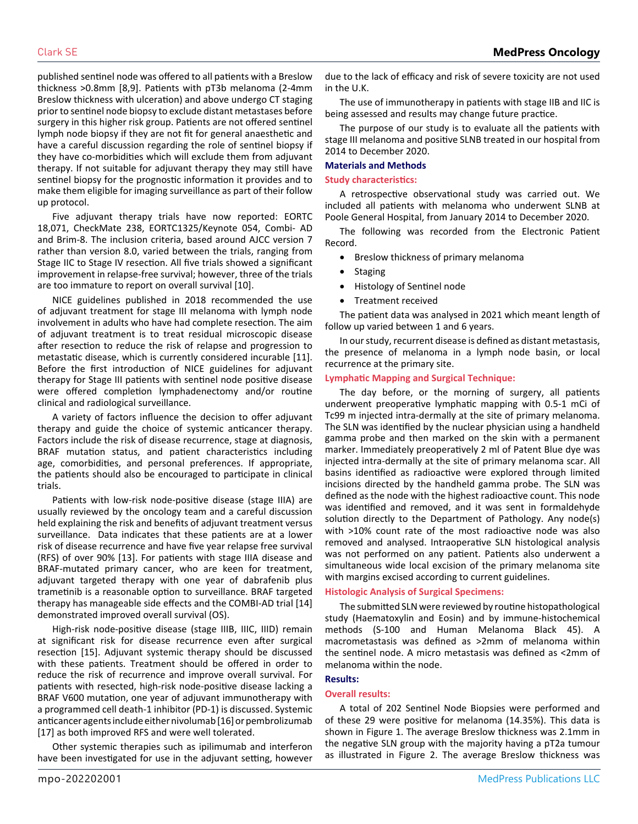published sentinel node was offered to all patients with a Breslow thickness >0.8mm [8,9]. Patients with pT3b melanoma (2-4mm Breslow thickness with ulceration) and above undergo CT staging prior to sentinel node biopsy to exclude distant metastases before surgery in this higher risk group. Patients are not offered sentinel lymph node biopsy if they are not fit for general anaesthetic and have a careful discussion regarding the role of sentinel biopsy if they have co-morbidities which will exclude them from adjuvant therapy. If not suitable for adjuvant therapy they may still have sentinel biopsy for the prognostic information it provides and to make them eligible for imaging surveillance as part of their follow up protocol.

Five adjuvant therapy trials have now reported: EORTC 18,071, CheckMate 238, EORTC1325/Keynote 054, Combi- AD and Brim-8. The inclusion criteria, based around AJCC version 7 rather than version 8.0, varied between the trials, ranging from Stage IIC to Stage IV resection. All five trials showed a significant improvement in relapse-free survival; however, three of the trials are too immature to report on overall survival [10].

NICE guidelines published in 2018 recommended the use of adjuvant treatment for stage III melanoma with lymph node involvement in adults who have had complete resection. The aim of adjuvant treatment is to treat residual microscopic disease after resection to reduce the risk of relapse and progression to metastatic disease, which is currently considered incurable [11]. Before the first introduction of NICE guidelines for adjuvant therapy for Stage III patients with sentinel node positive disease were offered completion lymphadenectomy and/or routine clinical and radiological surveillance.

A variety of factors influence the decision to offer adjuvant therapy and guide the choice of systemic anticancer therapy. Factors include the risk of disease recurrence, stage at diagnosis, BRAF mutation status, and patient characteristics including age, comorbidities, and personal preferences. If appropriate, the patients should also be encouraged to participate in clinical trials.

Patients with low-risk node-positive disease (stage IIIA) are usually reviewed by the oncology team and a careful discussion held explaining the risk and benefits of adjuvant treatment versus surveillance. Data indicates that these patients are at a lower risk of disease recurrence and have five year relapse free survival (RFS) of over 90% [13]. For patients with stage IIIA disease and BRAF-mutated primary cancer, who are keen for treatment, adjuvant targeted therapy with one year of dabrafenib plus trametinib is a reasonable option to surveillance. BRAF targeted therapy has manageable side effects and the COMBI-AD trial [14] demonstrated improved overall survival (OS).

High-risk node-positive disease (stage IIIB, IIIC, IIID) remain at significant risk for disease recurrence even after surgical resection [15]. Adjuvant systemic therapy should be discussed with these patients. Treatment should be offered in order to reduce the risk of recurrence and improve overall survival. For patients with resected, high-risk node-positive disease lacking a BRAF V600 mutation, one year of adjuvant immunotherapy with a programmed cell death-1 inhibitor (PD-1) is discussed. Systemic anticancer agents include either nivolumab [16] or pembrolizumab [17] as both improved RFS and were well tolerated.

Other systemic therapies such as ipilimumab and interferon have been investigated for use in the adjuvant setting, however

due to the lack of efficacy and risk of severe toxicity are not used in the U.K.

The use of immunotherapy in patients with stage IIB and IIC is being assessed and results may change future practice.

The purpose of our study is to evaluate all the patients with stage III melanoma and positive SLNB treated in our hospital from 2014 to December 2020.

#### **Materials and Methods**

#### **Study characteristics:**

A retrospective observational study was carried out. We included all patients with melanoma who underwent SLNB at Poole General Hospital, from January 2014 to December 2020.

The following was recorded from the Electronic Patient Record.

- • Breslow thickness of primary melanoma
- **Staging**
- Histology of Sentinel node
- Treatment received

The patient data was analysed in 2021 which meant length of follow up varied between 1 and 6 years.

In our study, recurrent disease is defined as distant metastasis, the presence of melanoma in a lymph node basin, or local recurrence at the primary site.

#### **Lymphatic Mapping and Surgical Technique:**

The day before, or the morning of surgery, all patients underwent preoperative lymphatic mapping with 0.5-1 mCi of Tc99 m injected intra-dermally at the site of primary melanoma. The SLN was identified by the nuclear physician using a handheld gamma probe and then marked on the skin with a permanent marker. Immediately preoperatively 2 ml of Patent Blue dye was injected intra-dermally at the site of primary melanoma scar. All basins identified as radioactive were explored through limited incisions directed by the handheld gamma probe. The SLN was defined as the node with the highest radioactive count. This node was identified and removed, and it was sent in formaldehyde solution directly to the Department of Pathology. Any node(s) with >10% count rate of the most radioactive node was also removed and analysed. Intraoperative SLN histological analysis was not performed on any patient. Patients also underwent a simultaneous wide local excision of the primary melanoma site with margins excised according to current guidelines.

#### **Histologic Analysis of Surgical Specimens:**

The submitted SLN were reviewed by routine histopathological study (Haematoxylin and Eosin) and by immune-histochemical methods (S-100 and Human Melanoma Black 45). A macrometastasis was defined as >2mm of melanoma within the sentinel node. A micro metastasis was defined as <2mm of melanoma within the node.

#### **Results:**

#### **Overall results:**

A total of 202 Sentinel Node Biopsies were performed and of these 29 were positive for melanoma (14.35%). This data is shown in Figure 1. The average Breslow thickness was 2.1mm in the negative SLN group with the majority having a pT2a tumour as illustrated in Figure 2. The average Breslow thickness was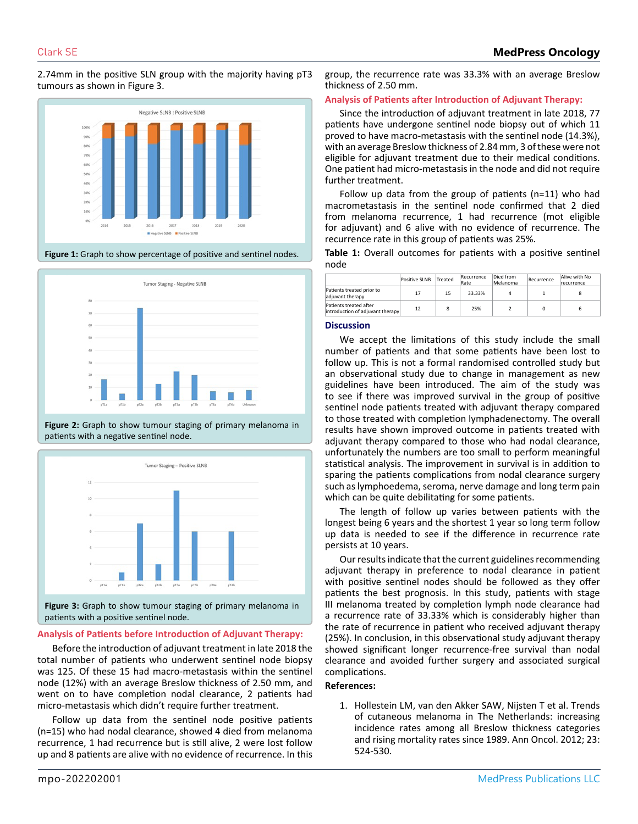2.74mm in the positive SLN group with the majority having pT3 tumours as shown in Figure 3.



**Figure 1:** Graph to show percentage of positive and sentinel nodes.







patients with a positive sentinel node.

### **Analysis of Patients before Introduction of Adjuvant Therapy:**

Before the introduction of adjuvant treatment in late 2018 the total number of patients who underwent sentinel node biopsy was 125. Of these 15 had macro-metastasis within the sentinel node (12%) with an average Breslow thickness of 2.50 mm, and went on to have completion nodal clearance, 2 patients had micro-metastasis which didn't require further treatment.

Follow up data from the sentinel node positive patients (n=15) who had nodal clearance, showed 4 died from melanoma recurrence, 1 had recurrence but is still alive, 2 were lost follow up and 8 patients are alive with no evidence of recurrence. In this group, the recurrence rate was 33.3% with an average Breslow thickness of 2.50 mm.

#### **Analysis of Patients after Introduction of Adjuvant Therapy:**

Since the introduction of adjuvant treatment in late 2018, 77 patients have undergone sentinel node biopsy out of which 11 proved to have macro-metastasis with the sentinel node (14.3%), with an average Breslow thickness of 2.84 mm, 3 of these were not eligible for adjuvant treatment due to their medical conditions. One patient had micro-metastasis in the node and did not require further treatment.

Follow up data from the group of patients (n=11) who had macrometastasis in the sentinel node confirmed that 2 died from melanoma recurrence, 1 had recurrence (mot eligible for adjuvant) and 6 alive with no evidence of recurrence. The recurrence rate in this group of patients was 25%.

**Table 1:** Overall outcomes for patients with a positive sentinel node

|                                                            | Positive SLNB | Treated | Recurrence<br>Rate | Died from<br>Melanoma | Recurrence | Alive with No<br>recurrence |
|------------------------------------------------------------|---------------|---------|--------------------|-----------------------|------------|-----------------------------|
| Patients treated prior to<br>adjuvant therapy              | 17            | 15      | 33.33%             | Λ                     |            |                             |
| Patients treated after<br>introduction of adjuvant therapy | 12            | 8       | 25%                |                       |            |                             |

#### **Discussion**

We accept the limitations of this study include the small number of patients and that some patients have been lost to follow up. This is not a formal randomised controlled study but an observational study due to change in management as new guidelines have been introduced. The aim of the study was to see if there was improved survival in the group of positive sentinel node patients treated with adjuvant therapy compared to those treated with completion lymphadenectomy. The overall results have shown improved outcome in patients treated with adjuvant therapy compared to those who had nodal clearance, unfortunately the numbers are too small to perform meaningful statistical analysis. The improvement in survival is in addition to sparing the patients complications from nodal clearance surgery such as lymphoedema, seroma, nerve damage and long term pain which can be quite debilitating for some patients.

The length of follow up varies between patients with the longest being 6 years and the shortest 1 year so long term follow up data is needed to see if the difference in recurrence rate persists at 10 years.

Our results indicate that the current guidelines recommending adjuvant therapy in preference to nodal clearance in patient with positive sentinel nodes should be followed as they offer patients the best prognosis. In this study, patients with stage III melanoma treated by completion lymph node clearance had a recurrence rate of 33.33% which is considerably higher than the rate of recurrence in patient who received adjuvant therapy (25%). In conclusion, in this observational study adjuvant therapy showed significant longer recurrence-free survival than nodal clearance and avoided further surgery and associated surgical complications.

# **References:**

1. [Hollestein LM, van den Akker SAW, Nijsten T et al. Trends](https://pubmed.ncbi.nlm.nih.gov/21543630/)  [of cutaneous melanoma in The Netherlands: increasing](https://pubmed.ncbi.nlm.nih.gov/21543630/)  [incidence rates among all Breslow thickness categories](https://pubmed.ncbi.nlm.nih.gov/21543630/) [and rising mortality rates since 1989. Ann Oncol. 2012; 23:](https://pubmed.ncbi.nlm.nih.gov/21543630/) [524-530.](https://pubmed.ncbi.nlm.nih.gov/21543630/)